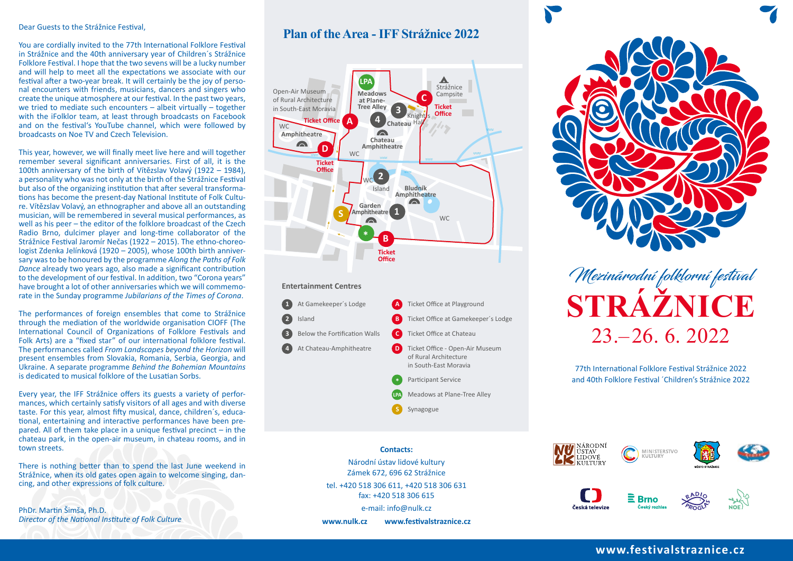#### Dear Guests to the Strážnice Festival,

You are cordially invited to the 77th International Folklore Festival in Strážnice and the 40th anniversary year of Children´s Strážnice Folklore Festival. I hope that the two sevens will be a lucky number and will help to meet all the expectations we associate with our festival after a two-year break. It will certainly be the joy of personal encounters with friends, musicians, dancers and singers who create the unique atmosphere at our festival. In the past two years, we tried to mediate such encounters – albeit virtually – together with the iFolklor team, at least through broadcasts on Facebook and on the festival's YouTube channel, which were followed by broadcasts on Noe TV and Czech Television.

This year, however, we will finally meet live here and will together remember several significant anniversaries. First of all, it is the 100th anniversary of the birth of Vítězslav Volavý (1922 – 1984), a personality who was not only at the birth of the Strážnice Festival but also of the organizing institution that after several transformations has become the present-day National Institute of Folk Culture. Vítězslav Volavý, an ethnographer and above all an outstanding musician, will be remembered in several musical performances, as well as his peer – the editor of the folklore broadcast of the Czech Radio Brno, dulcimer player and long-time collaborator of the Strážnice Festival Jaromír Nečas (1922 – 2015). The ethno-choreologist Zdenka Jelínková (1920 – 2005), whose 100th birth anniversary was to be honoured by the programme *Along the Paths of Folk Dance* already two years ago, also made a significant contribution to the development of our festival. In addition, two "Corona years" have brought a lot of other anniversaries which we will commemorate in the Sunday programme *Jubilarians of the Times of Corona*.

The performances of foreign ensembles that come to Strážnice through the mediation of the worldwide organisation CIOFF (The International Council of Organizations of Folklore Festivals and Folk Arts) are a "fixed star" of our international folklore festival. The performances called *From Landscapes beyond the Horizon* will present ensembles from Slovakia, Romania, Serbia, Georgia, and Ukraine. A separate programme *Behind the Bohemian Mountains* is dedicated to musical folklore of the Lusatian Sorbs.

Every year, the IFF Strážnice offers its guests a variety of performances, which certainly satisfy visitors of all ages and with diverse taste. For this year, almost fifty musical, dance, children´s, educational, entertaining and interactive performances have been prepared. All of them take place in a unique festival precinct – in the chateau park, in the open-air museum, in chateau rooms, and in town streets.

There is nothing better than to spend the last June weekend in Strážnice, when its old gates open again to welcome singing, dancing, and other expressions of folk culture.

PhDr. Martin Šimša, Ph.D. *Director of the National Institute of Folk Culture*

# **Plan of the Area - IFF Strážnice 2022**



#### **Contacts:**

Národní ústav lidové kultury Zámek 672, 696 62 Strážnice tel. +420 518 306 611, +420 518 306 631 fax: +420 518 306 615

e-mail: info@nulk.cz

**www.nulk.cz www.festivalstraznice.cz**



 $23 - 26.6$ , 2022 **STRÁŽNICE** Mezinárodní folklorní festival

77th International Folklore Festival Strážnice 2022 and 40th Folklore Festival ´Children's Strážnice 2022







# Česká televizi





## **www.festivalstraznice.cz**